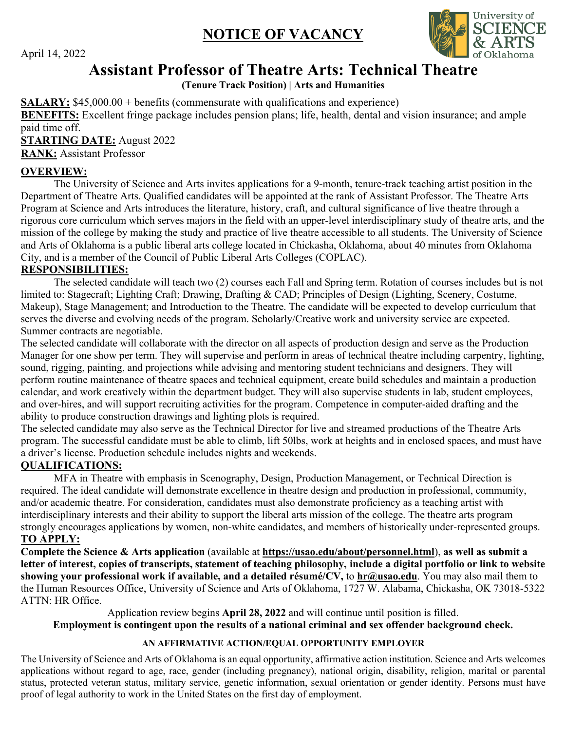## **NOTICE OF VACANCY**



April 14, 2022

# **Assistant Professor of Theatre Arts: Technical Theatre**

**(Tenure Track Position) | Arts and Humanities** 

**SALARY:** \$[45,000.00](https://45,000.00) + benefits (commensurate with qualifications and experience)

 **BENEFITS:** Excellent fringe package includes pension plans; life, health, dental and vision insurance; and ample paid time off.

**STARTING DATE:** August 2022

**RANK:** Assistant Professor

#### **OVERVIEW:**

 The University of Science and Arts invites applications for a 9-month, tenure-track teaching artist position in the Department of Theatre Arts. Qualified candidates will be appointed at the rank of Assistant Professor. The Theatre Arts Program at Science and Arts introduces the literature, history, craft, and cultural significance of live theatre through a rigorous core curriculum which serves majors in the field with an upper-level interdisciplinary study of theatre arts, and the mission of the college by making the study and practice of live theatre accessible to all students. The University of Science and Arts of Oklahoma is a public liberal arts college located in Chickasha, Oklahoma, about 40 minutes from Oklahoma City, and is a member of the Council of Public Liberal Arts Colleges (COPLAC).

#### **RESPONSIBILITIES:**

 The selected candidate will teach two (2) courses each Fall and Spring term. Rotation of courses includes but is not limited to: Stagecraft; Lighting Craft; Drawing, Drafting & CAD; Principles of Design (Lighting, Scenery, Costume, Makeup), Stage Management; and Introduction to the Theatre. The candidate will be expected to develop curriculum that serves the diverse and evolving needs of the program. Scholarly/Creative work and university service are expected. Summer contracts are negotiable.

 The selected candidate will collaborate with the director on all aspects of production design and serve as the Production Manager for one show per term. They will supervise and perform in areas of technical theatre including carpentry, lighting, sound, rigging, painting, and projections while advising and mentoring student technicians and designers. They will perform routine maintenance of theatre spaces and technical equipment, create build schedules and maintain a production calendar, and work creatively within the department budget. They will also supervise students in lab, student employees, and over-hires, and will support recruiting activities for the program. Competence in computer-aided drafting and the ability to produce construction drawings and lighting plots is required.

 The selected candidate may also serve as the Technical Director for live and streamed productions of the Theatre Arts program. The successful candidate must be able to climb, lift 50lbs, work at heights and in enclosed spaces, and must have a driver's license. Production schedule includes nights and weekends.

### **QUALIFICATIONS:**

 MFA in Theatre with emphasis in Scenography, Design, Production Management, or Technical Direction is required. The ideal candidate will demonstrate excellence in theatre design and production in professional, community, and/or academic theatre. For consideration, candidates must also demonstrate proficiency as a teaching artist with interdisciplinary interests and their ability to support the liberal arts mission of the college. The theatre arts program strongly encourages applications by women, non-white candidates, and members of historically under-represented groups.  **TO APPLY:** 

 **Complete the Science & Arts application** (available at **<https://usao.edu/about/personnel.html>**), **as well as submit a letter of interest, copies of transcripts, statement of teaching philosophy, include a digital portfolio or link to website showing your professional work if available, and a detailed résumé/CV,** to **[hr@usao.edu](mailto:hr@usao.edu)**. You may also mail them to the Human Resources Office, University of Science and Arts of Oklahoma, 1727 W. Alabama, Chickasha, OK 73018-5322 ATTN: HR Office.

 Application review begins **April 28, 2022** and will continue until position is filled.  **Employment is contingent upon the results of a national criminal and sex offender background check.** 

#### **AN AFFIRMATIVE ACTION/EQUAL OPPORTUNITY EMPLOYER**

 The University of Science and Arts of Oklahoma is an equal opportunity, affirmative action institution. Science and Arts welcomes applications without regard to age, race, gender (including pregnancy), national origin, disability, religion, marital or parental status, protected veteran status, military service, genetic information, sexual orientation or gender identity. Persons must have proof of legal authority to work in the United States on the first day of employment.